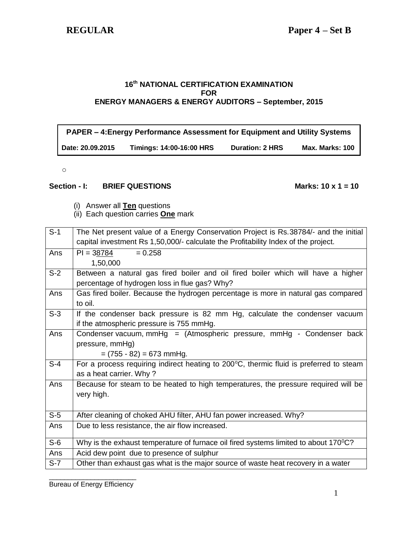### **16 th NATIONAL CERTIFICATION EXAMINATION FOR ENERGY MANAGERS & ENERGY AUDITORS – September, 2015**

# **PAPER – 4:Energy Performance Assessment for Equipment and Utility Systems Date: 20.09.2015 Timings: 14:00-16:00 HRS Duration: 2 HRS Max. Marks: 100**

o

### Section - **I:** BRIEF QUESTIONS Marks: 10 x 1 = 10

- (i) Answer all **Ten** questions
- (ii) Each question carries **One** mark

| $S-1$            | The Net present value of a Energy Conservation Project is Rs.38784/- and the initial   |
|------------------|----------------------------------------------------------------------------------------|
|                  | capital investment Rs 1,50,000/- calculate the Profitability Index of the project.     |
| Ans              | $PI = 38784$<br>$= 0.258$                                                              |
|                  | 1,50,000                                                                               |
| $S-2$            | Between a natural gas fired boiler and oil fired boiler which will have a higher       |
|                  | percentage of hydrogen loss in flue gas? Why?                                          |
| Ans              | Gas fired boiler. Because the hydrogen percentage is more in natural gas compared      |
|                  | to oil.                                                                                |
| $S-3$            | If the condenser back pressure is 82 mm Hg, calculate the condenser vacuum             |
|                  | if the atmospheric pressure is 755 mmHg.                                               |
| Ans              | Condenser vacuum, mmHg = (Atmospheric pressure, mmHg - Condenser back                  |
|                  | pressure, mmHg)                                                                        |
|                  | $= (755 - 82) = 673$ mmHg.                                                             |
| $S-4$            | For a process requiring indirect heating to 200°C, thermic fluid is preferred to steam |
|                  | as a heat carrier. Why?                                                                |
| Ans              | Because for steam to be heated to high temperatures, the pressure required will be     |
|                  | very high.                                                                             |
|                  |                                                                                        |
| $\overline{S-5}$ | After cleaning of choked AHU filter, AHU fan power increased. Why?                     |
| Ans              | Due to less resistance, the air flow increased.                                        |
|                  |                                                                                        |
| $S-6$            | Why is the exhaust temperature of furnace oil fired systems limited to about 170°C?    |
| Ans              | Acid dew point due to presence of sulphur                                              |
| $S-7$            | Other than exhaust gas what is the major source of waste heat recovery in a water      |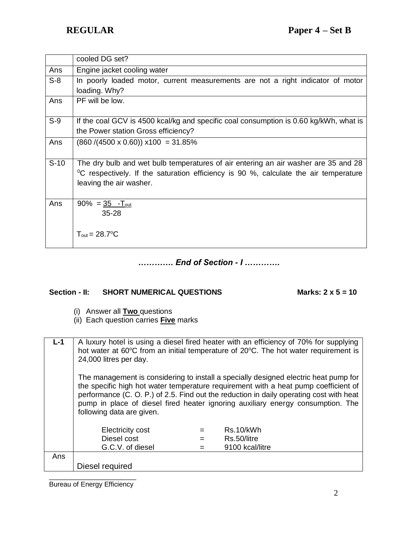|        | cooled DG set?                                                                                   |
|--------|--------------------------------------------------------------------------------------------------|
| Ans    | Engine jacket cooling water                                                                      |
| $S-8$  | In poorly loaded motor, current measurements are not a right indicator of motor                  |
|        | loading. Why?                                                                                    |
| Ans    | PF will be low.                                                                                  |
| $S-9$  | If the coal GCV is 4500 kcal/kg and specific coal consumption is 0.60 kg/kWh, what is            |
|        | the Power station Gross efficiency?                                                              |
| Ans    | $(860 / (4500 \times 0.60)) \times 100 = 31.85\%$                                                |
|        |                                                                                                  |
| $S-10$ | The dry bulb and wet bulb temperatures of air entering an air washer are 35 and 28               |
|        | <sup>o</sup> C respectively. If the saturation efficiency is 90 %, calculate the air temperature |
|        | leaving the air washer.                                                                          |
|        |                                                                                                  |
| Ans    | $90\% = 35$ -T <sub>out</sub>                                                                    |
|        | $35 - 28$                                                                                        |
|        |                                                                                                  |
|        | $T_{\text{out}} = 28.7$ °C                                                                       |
|        |                                                                                                  |

*…………. End of Section - I ………….*

# Section - II: SHORT NUMERICAL QUESTIONS Marks: 2 x 5 = 10

- (i) Answer all **Two** questions
- (ii) Each question carries **Five** marks

| $L-1$ | A luxury hotel is using a diesel fired heater with an efficiency of 70% for supplying<br>hot water at 60°C from an initial temperature of 20°C. The hot water requirement is                                                                                           |  |                 |
|-------|------------------------------------------------------------------------------------------------------------------------------------------------------------------------------------------------------------------------------------------------------------------------|--|-----------------|
|       | 24,000 litres per day.                                                                                                                                                                                                                                                 |  |                 |
|       |                                                                                                                                                                                                                                                                        |  |                 |
|       | The management is considering to install a specially designed electric heat pump for<br>the specific high hot water temperature requirement with a heat pump coefficient of<br>performance (C. O. P.) of 2.5. Find out the reduction in daily operating cost with heat |  |                 |
|       | pump in place of diesel fired heater ignoring auxiliary energy consumption. The<br>following data are given.                                                                                                                                                           |  |                 |
|       | <b>Electricity cost</b>                                                                                                                                                                                                                                                |  | Rs.10/kWh       |
|       | Diesel cost                                                                                                                                                                                                                                                            |  | Rs.50/litre     |
|       | G.C.V. of diesel                                                                                                                                                                                                                                                       |  | 9100 kcal/litre |
| Ans   |                                                                                                                                                                                                                                                                        |  |                 |
|       | Diesel required                                                                                                                                                                                                                                                        |  |                 |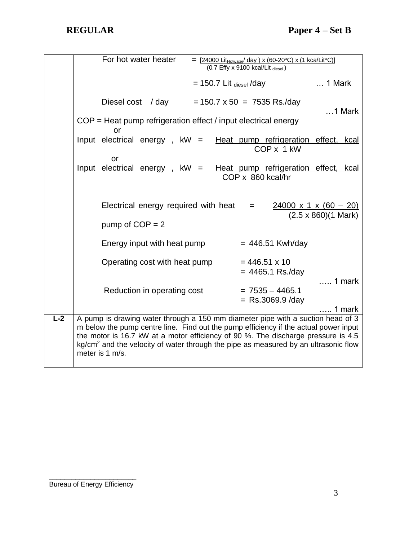For hot water heater  $=$   $\frac{24000 \text{ Lit}+ \text{Notated}}{20 \text{ I}} \times (60-20^{\circ} \text{C}) \times (1 \text{ kcal} \cdot \text{IC})}$  $(0.7$  Effy x 9100 kcal/Lit diesel)  $= 150.7$  Lit  $_{\text{diesel}}$  /day ... 1 Mark Diesel cost / day =  $150.7 \times 50 = 7535$  Rs./day …1 Mark COP = Heat pump refrigeration effect / input electrical energy or Input electrical energy,  $kW =$  Heat pump refrigeration effect, kcal COP x 1 kW or Input electrical energy,  $kW =$  Heat pump refrigeration effect, kcal COP x 860 kcal/hr Electrical energy required with heat  $= 24000 \times 1 \times (60 - 20)$  (2.5 x 860)(1 Mark) pump of  $COP = 2$ Energy input with heat pump  $= 446.51$  Kwh/day Operating cost with heat pump  $= 446.51 \times 10$  $= 4465.1$  Rs./day ….. 1 mark Reduction in operating cost  $= 7535 - 4465.1$  $=$  Rs.3069.9 /day ….. 1 mark **L-2** A pump is drawing water through a 150 mm diameter pipe with a suction head of 3 m below the pump centre line. Find out the pump efficiency if the actual power input the motor is 16.7 kW at a motor efficiency of 90 %. The discharge pressure is 4.5  $kg/cm<sup>2</sup>$  and the velocity of water through the pipe as measured by an ultrasonic flow meter is 1 m/s.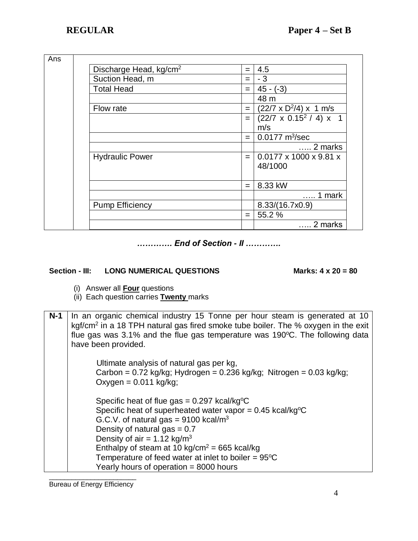| Ans |                                    |                    |                                         |
|-----|------------------------------------|--------------------|-----------------------------------------|
|     | Discharge Head, kg/cm <sup>2</sup> | $=$                | 4.5                                     |
|     | Suction Head, m                    | $=$                | $-3$                                    |
|     | <b>Total Head</b>                  | $=$                | $45 - (-3)$                             |
|     |                                    |                    | 48 m                                    |
|     | Flow rate                          | $=$ $\overline{ }$ | $(22/7 \times D^2/4) \times 1$ m/s      |
|     |                                    | $=$                | $(22/7 \times 0.15^2 / 4) \times 1$     |
|     |                                    |                    | m/s                                     |
|     |                                    | $=$                | $0.0177 \text{ m}^3/\text{sec}$         |
|     |                                    |                    | $\ldots$ 2 marks                        |
|     | <b>Hydraulic Power</b>             | $=$                | $0.0177 \times 1000 \times 9.81 \times$ |
|     |                                    |                    | 48/1000                                 |
|     |                                    |                    |                                         |
|     |                                    | $=$                | 8.33 kW                                 |
|     |                                    |                    | 1 mark                                  |
|     | <b>Pump Efficiency</b>             |                    | 8.33/(16.7x0.9)                         |
|     |                                    | $=$                | 55.2 %                                  |
|     |                                    |                    | 2 marks                                 |

*…………. End of Section - II ………….*

## Section - III: LONG NUMERICAL QUESTIONS Marks: 4 x 20 = 80

- (i) Answer all **Four** questions
- (ii) Each question carries **Twenty** marks
- **N-1** In an organic chemical industry 15 Tonne per hour steam is generated at 10 kgf/cm<sup>2</sup> in a 18 TPH natural gas fired smoke tube boiler. The % oxygen in the exit flue gas was  $3.1\%$  and the flue gas temperature was 190 $\degree$ C. The following data have been provided.

 Ultimate analysis of natural gas per kg, Carbon =  $0.72$  kg/kg; Hydrogen =  $0.236$  kg/kg; Nitrogen =  $0.03$  kg/kg;  $Oxygen =  $0.011 \text{ kg/kg}$ ;$ Specific heat of flue gas =  $0.297$  kcal/kg<sup>o</sup>C Specific heat of superheated water vapor =  $0.45$  kcal/kg<sup>o</sup>C G.C.V. of natural gas =  $9100$  kcal/m<sup>3</sup> Density of natural gas  $= 0.7$ Density of air =  $1.12 \text{ kg/m}^3$ Enthalpy of steam at 10 kg/cm<sup>2</sup> = 665 kcal/kg Temperature of feed water at inlet to boiler =  $95^{\circ}$ C Yearly hours of operation = 8000 hours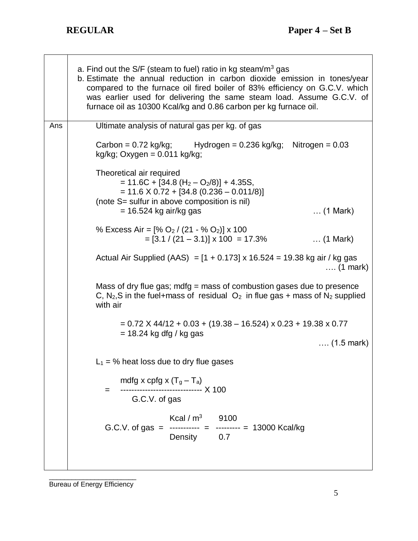|     | a. Find out the $S/F$ (steam to fuel) ratio in kg steam/m <sup>3</sup> gas<br>b. Estimate the annual reduction in carbon dioxide emission in tones/year<br>compared to the furnace oil fired boiler of 83% efficiency on G.C.V. which<br>was earlier used for delivering the same steam load. Assume G.C.V. of<br>furnace oil as 10300 Kcal/kg and 0.86 carbon per kg furnace oil. |  |  |  |
|-----|------------------------------------------------------------------------------------------------------------------------------------------------------------------------------------------------------------------------------------------------------------------------------------------------------------------------------------------------------------------------------------|--|--|--|
| Ans | Ultimate analysis of natural gas per kg. of gas                                                                                                                                                                                                                                                                                                                                    |  |  |  |
|     | Carbon = $0.72$ kg/kg; Hydrogen = $0.236$ kg/kg; Nitrogen = $0.03$<br>kg/kg; Oxygen = $0.011$ kg/kg;                                                                                                                                                                                                                                                                               |  |  |  |
|     | Theoretical air required<br>$= 11.6C + [34.8 (H2 - O2/8)] + 4.35S,$<br>$= 11.6 \times 0.72 + [34.8 (0.236 - 0.011/8)]$<br>(note S= sulfur in above composition is nil)<br>$= 16.524$ kg air/kg gas<br>$\ldots$ (1 Mark)                                                                                                                                                            |  |  |  |
|     | % Excess Air = $[% O_2 / (21 - % O_2)] \times 100$<br>$=[3.1 / (21 - 3.1)] \times 100 = 17.3\%$<br>$\ldots$ (1 Mark)                                                                                                                                                                                                                                                               |  |  |  |
|     | Actual Air Supplied (AAS) = $[1 + 0.173]$ x 16.524 = 19.38 kg air / kg gas<br>$\ldots$ (1 mark)                                                                                                                                                                                                                                                                                    |  |  |  |
|     | Mass of dry flue gas; $mdfg = mass$ of combustion gases due to presence<br>C, N <sub>2</sub> , S in the fuel+mass of residual $O_2$ in flue gas + mass of N <sub>2</sub> supplied<br>with air                                                                                                                                                                                      |  |  |  |
|     | $= 0.72$ X 44/12 + 0.03 + (19.38 – 16.524) x 0.23 + 19.38 x 0.77                                                                                                                                                                                                                                                                                                                   |  |  |  |
|     | $= 18.24$ kg dfg / kg gas<br>$(1.5 \text{ mark})$                                                                                                                                                                                                                                                                                                                                  |  |  |  |
|     |                                                                                                                                                                                                                                                                                                                                                                                    |  |  |  |
|     | $L_1$ = % heat loss due to dry flue gases                                                                                                                                                                                                                                                                                                                                          |  |  |  |
|     | mdfg x cpfg x $(T_g - T_a)$<br>-------------- X 100<br>$=$<br>G.C.V. of gas                                                                                                                                                                                                                                                                                                        |  |  |  |
|     | Kcal / $m^3$ 9100<br>G.C.V. of gas = ----------- = --------- = 13000 Kcal/kg<br>Density 0.7                                                                                                                                                                                                                                                                                        |  |  |  |
|     |                                                                                                                                                                                                                                                                                                                                                                                    |  |  |  |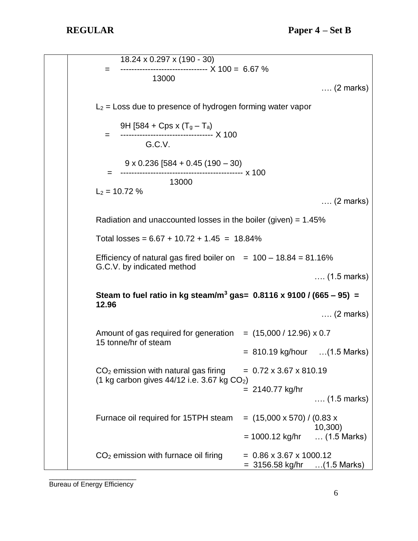18.24 x 0.297 x (190 - 30)  $=$  ----------------------------------  $\times 100 = 6.67 \%$  13000 …. (2 marks)  $L_2$  = Loss due to presence of hydrogen forming water vapor 9H [584 + Cps x  $(T_g - T_a)$  = ---------------------------------- X 100 G.C.V. 9 x 0.236 [584 + 0.45 (190 – 30) = --------------------------------------------- x 100 13000  $L_2$  = 10.72 % …. (2 marks) Radiation and unaccounted losses in the boiler (given) =  $1.45\%$ Total losses =  $6.67 + 10.72 + 1.45 = 18.84\%$ Efficiency of natural gas fired boiler on  $= 100 - 18.84 = 81.16\%$ G.C.V. by indicated method …. (1.5 marks) **Steam to fuel ratio in kg steam/m<sup>3</sup> gas= 0.8116 x 9100 / (665 – 95) = 12.96** …. (2 marks) Amount of gas required for generation  $=$  (15,000 / 12.96) x 0.7 15 tonne/hr of steam  $= 810.19$  kg/hour  $\ldots$  (1.5 Marks)  $CO<sub>2</sub>$  emission with natural gas firing  $= 0.72 \times 3.67 \times 810.19$ (1 kg carbon gives  $44/12$  i.e. 3.67 kg  $CO<sub>2</sub>$ ) = 2140.77 kg/hr …. (1.5 marks) Furnace oil required for 15TPH steam  $=$  (15,000 x 570) / (0.83 x 10,300)  $= 1000.12$  kg/hr  $\ldots$  (1.5 Marks)  $CO<sub>2</sub>$  emission with furnace oil firing  $= 0.86 \times 3.67 \times 1000.12$ = 3156.58 kg/hr …(1.5 Marks)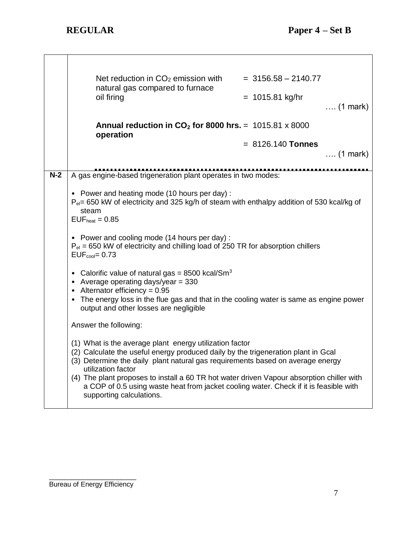|       | Net reduction in CO <sub>2</sub> emission with<br>natural gas compared to furnace<br>oil firing                                                                                                                                                                                                                                                                                                                                                                        | $=$ 3156.58 $-$ 2140.77<br>$= 1015.81$ kg/hr<br>$\ldots$ (1 mark) |
|-------|------------------------------------------------------------------------------------------------------------------------------------------------------------------------------------------------------------------------------------------------------------------------------------------------------------------------------------------------------------------------------------------------------------------------------------------------------------------------|-------------------------------------------------------------------|
|       | Annual reduction in $CO2$ for 8000 hrs. = 1015.81 x 8000<br>operation                                                                                                                                                                                                                                                                                                                                                                                                  |                                                                   |
|       |                                                                                                                                                                                                                                                                                                                                                                                                                                                                        | $= 8126.140$ Tonnes<br>$\ldots$ (1 mark)                          |
|       |                                                                                                                                                                                                                                                                                                                                                                                                                                                                        |                                                                   |
| $N-2$ | A gas engine-based trigeneration plant operates in two modes:                                                                                                                                                                                                                                                                                                                                                                                                          |                                                                   |
|       | • Power and heating mode (10 hours per day) :<br>$P_{el}$ = 650 kW of electricity and 325 kg/h of steam with enthalpy addition of 530 kcal/kg of<br>steam<br>$EUFheat = 0.85$                                                                                                                                                                                                                                                                                          |                                                                   |
|       | • Power and cooling mode (14 hours per day):<br>$P_{el}$ = 650 kW of electricity and chilling load of 250 TR for absorption chillers<br>$EUF_{cool} = 0.73$                                                                                                                                                                                                                                                                                                            |                                                                   |
|       | • Calorific value of natural gas = 8500 kcal/Sm <sup>3</sup><br>• Average operating days/year = $330$<br>• Alternator efficiency = $0.95$<br>• The energy loss in the flue gas and that in the cooling water is same as engine power<br>output and other losses are negligible                                                                                                                                                                                         |                                                                   |
|       | Answer the following:                                                                                                                                                                                                                                                                                                                                                                                                                                                  |                                                                   |
|       | (1) What is the average plant energy utilization factor<br>(2) Calculate the useful energy produced daily by the trigeneration plant in Gcal<br>(3) Determine the daily plant natural gas requirements based on average energy<br>utilization factor<br>(4) The plant proposes to install a 60 TR hot water driven Vapour absorption chiller with<br>a COP of 0.5 using waste heat from jacket cooling water. Check if it is feasible with<br>supporting calculations. |                                                                   |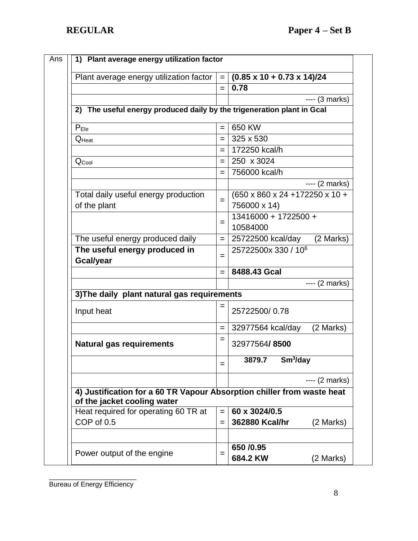| Plant average energy utilization factor                                                               | $=$ | $(0.85 \times 10 + 0.73 \times 14)/24$ |  |
|-------------------------------------------------------------------------------------------------------|-----|----------------------------------------|--|
|                                                                                                       | $=$ | 0.78                                   |  |
|                                                                                                       |     | $--- (3 marks)$                        |  |
| 2) The useful energy produced daily by the trigeneration plant in Gcal                                |     |                                        |  |
| P <sub>Ele</sub>                                                                                      | $=$ | 650 KW                                 |  |
| $Q_{\text{Heat}}$                                                                                     | $=$ | 325 x 530                              |  |
|                                                                                                       | $=$ | 172250 kcal/h                          |  |
| $Q_{\text{Cool}}$                                                                                     |     | 250 x 3024                             |  |
|                                                                                                       | $=$ | 756000 kcal/h                          |  |
|                                                                                                       |     | $--- (2 marks)$                        |  |
| Total daily useful energy production                                                                  |     | (650 x 860 x 24 +172250 x 10 +         |  |
| of the plant                                                                                          | $=$ | 756000 x 14)                           |  |
|                                                                                                       |     | 13416000 + 1722500 +                   |  |
|                                                                                                       | $=$ | 10584000                               |  |
| The useful energy produced daily                                                                      | $=$ | (2 Marks)<br>25722500 kcal/day         |  |
| The useful energy produced in                                                                         | $=$ | 25722500x 330 / 10 <sup>6</sup>        |  |
| <b>Gcal/year</b>                                                                                      |     |                                        |  |
|                                                                                                       | $=$ | 8488.43 Gcal                           |  |
|                                                                                                       |     | $--- (2 marks)$                        |  |
| 3) The daily plant natural gas requirements                                                           |     |                                        |  |
| Input heat                                                                                            | $=$ | 25722500/0.78                          |  |
|                                                                                                       | $=$ | (2 Marks)<br>32977564 kcal/day         |  |
| <b>Natural gas requirements</b>                                                                       | $=$ | 32977564/8500                          |  |
|                                                                                                       | =   | $3879.7$ Sm <sup>3</sup> /day          |  |
|                                                                                                       |     | $--- (2 marks)$                        |  |
| 4) Justification for a 60 TR Vapour Absorption chiller from waste heat<br>of the jacket cooling water |     |                                        |  |
| Heat required for operating 60 TR at                                                                  | $=$ | 60 x 3024/0.5                          |  |
| COP of 0.5                                                                                            | $=$ | 362880 Kcal/hr<br>(2 Marks)            |  |
|                                                                                                       |     |                                        |  |
| Power output of the engine                                                                            | $=$ | 650 / 0.95                             |  |
|                                                                                                       |     | 684.2 KW<br>(2 Marks)                  |  |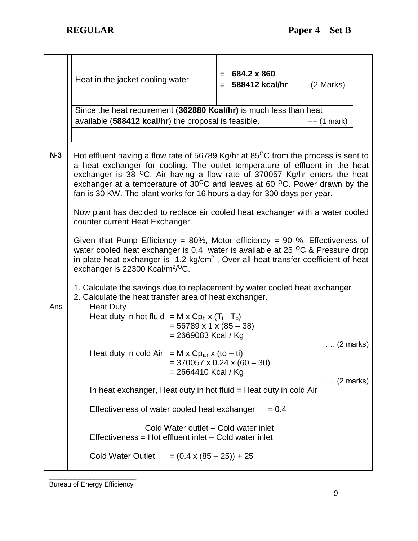|       | Heat in the jacket cooling water                                                                                                                                                                                                                                                                                                                                                                                                                    | $=$<br>$=$ | 684.2 x 860<br>588412 kcal/hr | (2 Marks)          |  |
|-------|-----------------------------------------------------------------------------------------------------------------------------------------------------------------------------------------------------------------------------------------------------------------------------------------------------------------------------------------------------------------------------------------------------------------------------------------------------|------------|-------------------------------|--------------------|--|
|       | Since the heat requirement (362880 Kcal/hr) is much less than heat<br>available (588412 kcal/hr) the proposal is feasible.                                                                                                                                                                                                                                                                                                                          |            |                               | $--- (1 mark)$     |  |
| $N-3$ | Hot effluent having a flow rate of 56789 Kg/hr at 85 $\degree$ C from the process is sent to<br>a heat exchanger for cooling. The outlet temperature of effluent in the heat<br>exchanger is 38 <sup>O</sup> C. Air having a flow rate of 370057 Kg/hr enters the heat<br>exchanger at a temperature of $30^{\circ}$ C and leaves at 60 $^{\circ}$ C. Power drawn by the<br>fan is 30 KW. The plant works for 16 hours a day for 300 days per year. |            |                               |                    |  |
|       | Now plant has decided to replace air cooled heat exchanger with a water cooled<br>counter current Heat Exchanger.                                                                                                                                                                                                                                                                                                                                   |            |                               |                    |  |
|       | Given that Pump Efficiency = 80%, Motor efficiency = 90 %, Effectiveness of<br>water cooled heat exchanger is 0.4 water is available at 25 $\mathrm{^{\circ}C}$ & Pressure drop<br>in plate heat exchanger is 1.2 kg/cm <sup>2</sup> , Over all heat transfer coefficient of heat<br>exchanger is 22300 Kcal/m <sup>2/O</sup> C.                                                                                                                    |            |                               |                    |  |
|       | 1. Calculate the savings due to replacement by water cooled heat exchanger<br>2. Calculate the heat transfer area of heat exchanger.                                                                                                                                                                                                                                                                                                                |            |                               |                    |  |
| Ans   | <b>Heat Duty</b><br>Heat duty in hot fluid = $M \times Cp_h \times (T_i - T_o)$<br>$= 56789 \times 1 \times (85 - 38)$<br>$= 2669083$ Kcal / Kg                                                                                                                                                                                                                                                                                                     |            |                               | $\ldots$ (2 marks) |  |
|       | Heat duty in cold Air = M x Cp <sub>air</sub> x (to - ti)<br>$=$ 370057 x 0.24 x (60 - 30)<br>$= 2664410$ Kcal / Kg                                                                                                                                                                                                                                                                                                                                 |            |                               | $\ldots$ (2 marks) |  |
|       | In heat exchanger, Heat duty in hot fluid = Heat duty in cold Air                                                                                                                                                                                                                                                                                                                                                                                   |            |                               |                    |  |
|       | Effectiveness of water cooled heat exchanger                                                                                                                                                                                                                                                                                                                                                                                                        |            | $= 0.4$                       |                    |  |
|       | <u>Cold Water outlet – Cold water inlet</u><br>Effectiveness = Hot effluent inlet - Cold water inlet                                                                                                                                                                                                                                                                                                                                                |            |                               |                    |  |
|       | <b>Cold Water Outlet</b><br>$= (0.4 \times (85 - 25)) + 25$                                                                                                                                                                                                                                                                                                                                                                                         |            |                               |                    |  |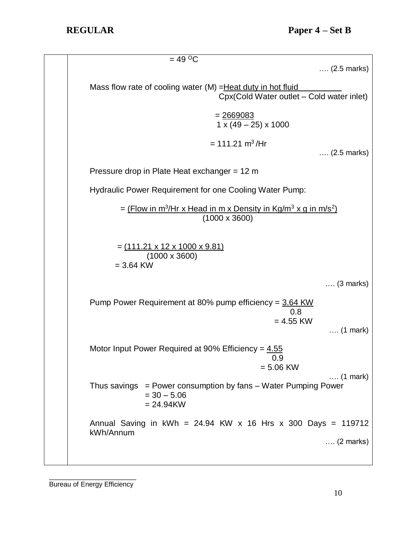| $= 49 \degree C$<br>$(2.5 \text{ marks})$                                                                                |
|--------------------------------------------------------------------------------------------------------------------------|
| Mass flow rate of cooling water (M) = Heat duty in hot fluid<br>Cpx(Cold Water outlet - Cold water inlet)                |
| $1 \times (49 - 25) \times 1000$                                                                                         |
| $= 111.21 \text{ m}^3/\text{Hr}$<br>$(2.5 \text{ marks})$                                                                |
| Pressure drop in Plate Heat exchanger = 12 m                                                                             |
| Hydraulic Power Requirement for one Cooling Water Pump:                                                                  |
| = $(Flow in m3/Hr x Head in m x Density in Kg/m3 x g in m/s2)$<br>$(1000 \times 3600)$                                   |
| <u>= (111.21 x 12 x 1000 x 9.81)</u><br>$(1000 \times 3600)$<br>$= 3.64$ KW                                              |
| $\ldots$ (3 marks)                                                                                                       |
| Pump Power Requirement at 80% pump efficiency = 3.64 KW<br>0.8<br>$= 4.55$ KW<br>$\ldots$ (1 mark)                       |
| Motor Input Power Required at 90% Efficiency = $4.55$<br>0.9<br>$= 5.06$ KW                                              |
| $\ldots$ (1 mark)<br>Thus savings $=$ Power consumption by fans $-$ Water Pumping Power<br>$= 30 - 5.06$<br>$= 24.94$ KW |
| Annual Saving in $kWh = 24.94$ KW x 16 Hrs x 300 Days = 119712<br>kWh/Annum                                              |
| $\ldots$ (2 marks)                                                                                                       |
|                                                                                                                          |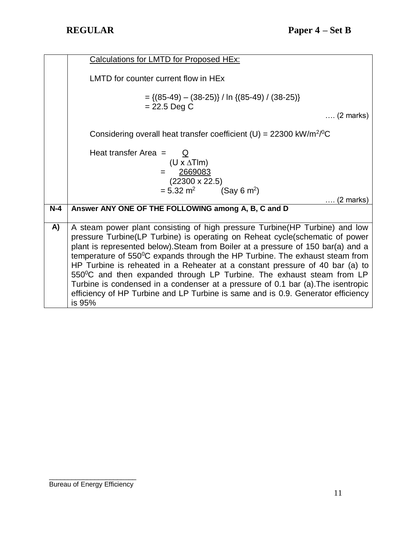|       | <b>Calculations for LMTD for Proposed HEx:</b>                                       |
|-------|--------------------------------------------------------------------------------------|
|       |                                                                                      |
|       | LMTD for counter current flow in HE <sub>x</sub>                                     |
|       |                                                                                      |
|       |                                                                                      |
|       | $= \{(85-49) - (38-25)\}\/ \ln \{(85-49)\}/ \{(38-25)\}$                             |
|       | $= 22.5$ Deg C                                                                       |
|       | $\ldots$ (2 marks)                                                                   |
|       |                                                                                      |
|       | Considering overall heat transfer coefficient (U) = $22300 \text{ kW/m}^2/\text{°C}$ |
|       |                                                                                      |
|       |                                                                                      |
|       | Heat transfer Area = $Q$                                                             |
|       | $(U \times \Delta T$ Im)                                                             |
|       | 2669083                                                                              |
|       | $(22300 \times 22.5)$                                                                |
|       |                                                                                      |
|       | $= 5.32$ m <sup>2</sup><br>(Say 6 m <sup>2</sup> )                                   |
|       | $\ldots$ (2 marks)                                                                   |
| $N-4$ | Answer ANY ONE OF THE FOLLOWING among A, B, C and D                                  |
|       |                                                                                      |
| A)    | A steam power plant consisting of high pressure Turbine(HP Turbine) and low          |
|       | pressure Turbine(LP Turbine) is operating on Reheat cycle(schematic of power         |
|       |                                                                                      |
|       | plant is represented below). Steam from Boiler at a pressure of 150 bar(a) and a     |
|       | temperature of 550°C expands through the HP Turbine. The exhaust steam from          |
|       | HP Turbine is reheated in a Reheater at a constant pressure of 40 bar (a) to         |
|       | 550°C and then expanded through LP Turbine. The exhaust steam from LP                |
|       |                                                                                      |
|       | Turbine is condensed in a condenser at a pressure of 0.1 bar (a). The isentropic     |
|       | efficiency of HP Turbine and LP Turbine is same and is 0.9. Generator efficiency     |
|       | is 95%                                                                               |
|       |                                                                                      |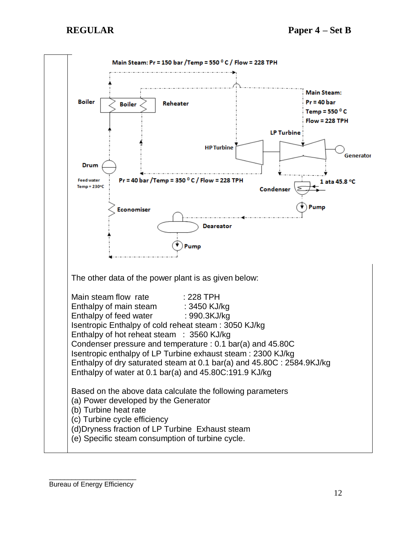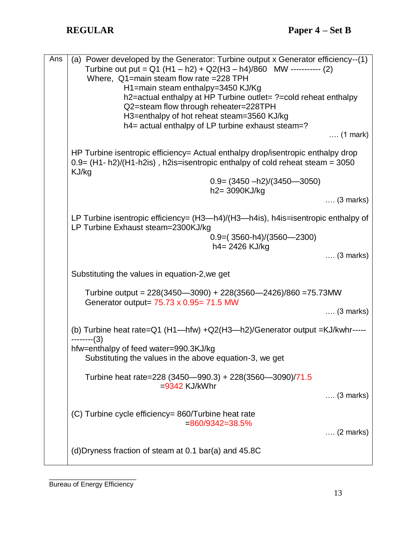| Ans | (a) Power developed by the Generator: Turbine output x Generator efficiency--(1)<br>Turbine out put = $Q1(H1 - h2) + Q2(H3 - h4)/860$ MW ----------- (2)<br>Where, Q1=main steam flow rate =228 TPH<br>H1=main steam enthalpy=3450 KJ/Kg<br>h2=actual enthalpy at HP Turbine outlet= ?=cold reheat enthalpy<br>Q2=steam flow through reheater=228TPH<br>H3=enthalpy of hot reheat steam=3560 KJ/kg<br>h4= actual enthalpy of LP turbine exhaust steam=?<br>$\ldots$ (1 mark) |
|-----|------------------------------------------------------------------------------------------------------------------------------------------------------------------------------------------------------------------------------------------------------------------------------------------------------------------------------------------------------------------------------------------------------------------------------------------------------------------------------|
|     | HP Turbine isentropic efficiency= Actual enthalpy drop/isentropic enthalpy drop<br>$0.9 = (H1 - h2)/(H1 - h2is)$ , h2is=isentropic enthalpy of cold reheat steam = 3050<br>KJ/kg<br>$0.9 = (3450 - h2)/(3450 - 3050)$<br>h2= 3090KJ/kg<br>$\ldots$ (3 marks)                                                                                                                                                                                                                 |
|     | LP Turbine isentropic efficiency= (H3-h4)/(H3-h4is), h4is=isentropic enthalpy of<br>LP Turbine Exhaust steam=2300KJ/kg<br>$0.9=(3560-h4)/(3560-2300)$<br>h4= 2426 KJ/kg<br>$\ldots$ (3 marks)                                                                                                                                                                                                                                                                                |
|     | Substituting the values in equation-2, we get                                                                                                                                                                                                                                                                                                                                                                                                                                |
|     | Turbine output = 228(3450-3090) + 228(3560-2426)/860 = 75.73 MW<br>Generator output= 75.73 x 0.95= 71.5 MW                                                                                                                                                                                                                                                                                                                                                                   |
|     | $\ldots$ (3 marks)                                                                                                                                                                                                                                                                                                                                                                                                                                                           |
|     | (b) Turbine heat rate=Q1 (H1-hfw) +Q2(H3-h2)/Generator output =KJ/kwhr-----<br>$----(3)$                                                                                                                                                                                                                                                                                                                                                                                     |
|     | hfw=enthalpy of feed water=990.3KJ/kg<br>Substituting the values in the above equation-3, we get                                                                                                                                                                                                                                                                                                                                                                             |
|     | Turbine heat rate=228 (3450-990.3) + 228(3560-3090)/71.5<br>$= 9342$ KJ/kWhr<br>$\ldots$ (3 marks)                                                                                                                                                                                                                                                                                                                                                                           |
|     | (C) Turbine cycle efficiency= 860/Turbine heat rate<br>$=860/9342=38.5%$<br>$\ldots$ (2 marks)                                                                                                                                                                                                                                                                                                                                                                               |
|     | (d) Dryness fraction of steam at 0.1 bar(a) and 45.8C                                                                                                                                                                                                                                                                                                                                                                                                                        |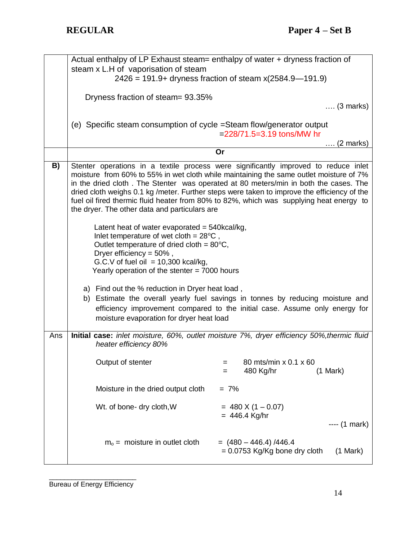|     | Actual enthalpy of LP Exhaust steam= enthalpy of water + dryness fraction of                            |                                                                                                                                                                                     |  |  |
|-----|---------------------------------------------------------------------------------------------------------|-------------------------------------------------------------------------------------------------------------------------------------------------------------------------------------|--|--|
|     | steam x L.H of vaporisation of steam                                                                    |                                                                                                                                                                                     |  |  |
|     | $2426 = 191.9 +$ dryness fraction of steam x(2584.9–191.9)                                              |                                                                                                                                                                                     |  |  |
|     | Dryness fraction of steam = 93.35%                                                                      |                                                                                                                                                                                     |  |  |
|     |                                                                                                         | $\ldots$ (3 marks)                                                                                                                                                                  |  |  |
|     | (e) Specific steam consumption of cycle = Steam flow/generator output                                   |                                                                                                                                                                                     |  |  |
|     |                                                                                                         | $=$ 228/71.5=3.19 tons/MW hr                                                                                                                                                        |  |  |
|     |                                                                                                         | (2 marks)<br>Or                                                                                                                                                                     |  |  |
| B)  |                                                                                                         | Stenter operations in a textile process were significantly improved to reduce inlet                                                                                                 |  |  |
|     |                                                                                                         | moisture from 60% to 55% in wet cloth while maintaining the same outlet moisture of 7%                                                                                              |  |  |
|     |                                                                                                         | in the dried cloth. The Stenter was operated at 80 meters/min in both the cases. The<br>dried cloth weighs 0.1 kg /meter. Further steps were taken to improve the efficiency of the |  |  |
|     |                                                                                                         | fuel oil fired thermic fluid heater from 80% to 82%, which was supplying heat energy to                                                                                             |  |  |
|     | the dryer. The other data and particulars are                                                           |                                                                                                                                                                                     |  |  |
|     | Latent heat of water evaporated = $540$ kcal/kg,                                                        |                                                                                                                                                                                     |  |  |
|     | Inlet temperature of wet cloth = $28^{\circ}$ C,<br>Outlet temperature of dried cloth = $80^{\circ}$ C, |                                                                                                                                                                                     |  |  |
|     | Dryer efficiency = $50\%$ ,                                                                             |                                                                                                                                                                                     |  |  |
|     | G.C.V of fuel oil = $10,300$ kcal/kg,                                                                   |                                                                                                                                                                                     |  |  |
|     | Yearly operation of the stenter $= 7000$ hours                                                          |                                                                                                                                                                                     |  |  |
|     | a) Find out the % reduction in Dryer heat load,                                                         |                                                                                                                                                                                     |  |  |
|     |                                                                                                         | b) Estimate the overall yearly fuel savings in tonnes by reducing moisture and                                                                                                      |  |  |
|     | moisture evaporation for dryer heat load                                                                | efficiency improvement compared to the initial case. Assume only energy for                                                                                                         |  |  |
|     |                                                                                                         |                                                                                                                                                                                     |  |  |
| Ans | heater efficiency 80%                                                                                   | Initial case: inlet moisture, 60%, outlet moisture 7%, dryer efficiency 50%, thermic fluid                                                                                          |  |  |
|     | Output of stenter                                                                                       | 80 mts/min x 0.1 x 60<br>=                                                                                                                                                          |  |  |
|     |                                                                                                         | 480 Kg/hr<br>(1 Mark)<br>=                                                                                                                                                          |  |  |
|     | Moisture in the dried output cloth                                                                      | $= 7\%$                                                                                                                                                                             |  |  |
|     |                                                                                                         |                                                                                                                                                                                     |  |  |
|     | Wt. of bone- dry cloth, W                                                                               | $= 480 \times (1 - 0.07)$<br>$= 446.4$ Kg/hr                                                                                                                                        |  |  |
|     |                                                                                                         | $--- (1 mark)$                                                                                                                                                                      |  |  |
|     | $mo$ = moisture in outlet cloth                                                                         | $=$ (480 – 446.4)/446.4                                                                                                                                                             |  |  |
|     |                                                                                                         | $= 0.0753$ Kg/Kg bone dry cloth<br>(1 Mark)                                                                                                                                         |  |  |
|     |                                                                                                         |                                                                                                                                                                                     |  |  |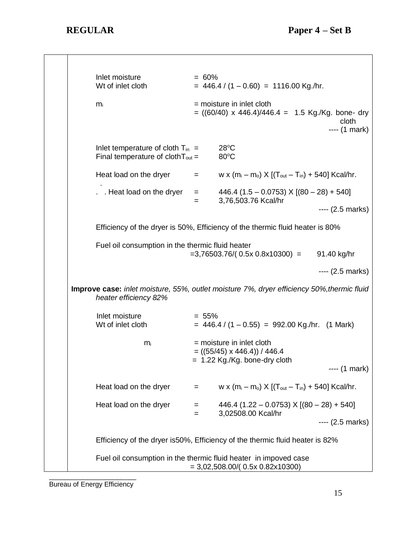\_\_\_\_\_\_\_\_\_\_\_\_\_\_\_\_\_\_\_\_\_\_\_  $\blacksquare$ Inlet moisture  $= 60\%$ Wt of inlet cloth  $= 446.4 / (1 - 0.60) = 1116.00$  Kg./hr.  $m_i$  = moisture in inlet cloth  $= ((60/40) \times 446.4)/446.4 = 1.5$  Kg./Kg. bone- dry cloth and the contract of the contract of the contract of the contract of the contract of the contract of the ---- (1 mark) Inlet temperature of cloth  $T_{in}$  = 28°C Final temperature of cloth  $T_{\text{out}} = 80^{\circ}C$ Heat load on the dryer  $=$  w x  $(m_i - m_o)$  X  $[(T_{out} - T_{in}) + 540]$  Kcal/hr. . . . Heat load on the dryer  $=$  446.4 (1.5 – 0.0753) X [(80 – 28) + 540] = 3,76,503.76 Kcal/hr ---- (2.5 marks) Efficiency of the dryer is 50%, Efficiency of the thermic fluid heater is 80% Fuel oil consumption in the thermic fluid heater  $=3,76503.76/(0.5x 0.8x10300) = 91.40 kg/hr$ ---- (2.5 marks) **Improve case:** *inlet moisture, 55%, outlet moisture 7%, dryer efficiency 50%,thermic fluid heater efficiency 82%*  $Inlet moisture = 55%$ Wt of inlet cloth  $= 446.4 / (1 - 0.55) = 992.00$  Kg./hr. (1 Mark)  $m_i$  = moisture in inlet cloth  $=$  ((55/45) x 446.4)) / 446.4 = 1.22 Kg./Kg. bone-dry cloth ---- (1 mark) Heat load on the dryer  $=$  w x  $(m_i - m_o)$  X  $[(T_{out} - T_{in}) + 540]$  Kcal/hr. Heat load on the dryer  $= 446.4 (1.22 - 0.0753) \times [(80 - 28) + 540]$ = 3,02508.00 Kcal/hr ---- (2.5 marks) Efficiency of the dryer is50%, Efficiency of the thermic fluid heater is 82% Fuel oil consumption in the thermic fluid heater in impoved case = 3,02,508.00/( 0.5x 0.82x10300)

Bureau of Energy Efficiency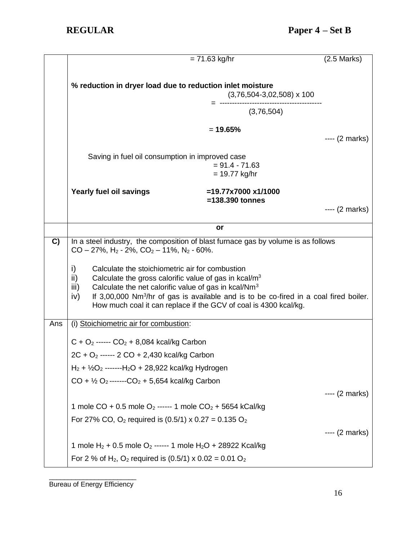|     |                                                                                                    | $= 71.63$ kg/hr                                                                                                                                                         | $(2.5$ Marks)   |  |
|-----|----------------------------------------------------------------------------------------------------|-------------------------------------------------------------------------------------------------------------------------------------------------------------------------|-----------------|--|
|     |                                                                                                    |                                                                                                                                                                         |                 |  |
|     | % reduction in dryer load due to reduction inlet moisture                                          | $(3,76,504-3,02,508) \times 100$                                                                                                                                        |                 |  |
|     |                                                                                                    |                                                                                                                                                                         |                 |  |
|     |                                                                                                    | $= 19.65%$                                                                                                                                                              |                 |  |
|     |                                                                                                    |                                                                                                                                                                         | ---- (2 marks)  |  |
|     | Saving in fuel oil consumption in improved case                                                    |                                                                                                                                                                         |                 |  |
|     |                                                                                                    | $= 91.4 - 71.63$                                                                                                                                                        |                 |  |
|     |                                                                                                    | $= 19.77$ kg/hr                                                                                                                                                         |                 |  |
|     | Yearly fuel oil savings                                                                            | $=19.77x7000x1/1000$<br>$=138.390$ tonnes                                                                                                                               |                 |  |
|     |                                                                                                    |                                                                                                                                                                         | $--- (2 marks)$ |  |
|     |                                                                                                    | or                                                                                                                                                                      |                 |  |
| C)  | In a steel industry, the composition of blast furnace gas by volume is as follows                  |                                                                                                                                                                         |                 |  |
|     | $CO - 27\%$ , H <sub>2</sub> - 2%, $CO_2 - 11\%$ , N <sub>2</sub> - 60%.                           |                                                                                                                                                                         |                 |  |
|     | i)<br>Calculate the stoichiometric air for combustion                                              |                                                                                                                                                                         |                 |  |
|     | ii)<br>Calculate the gross calorific value of gas in $kcal/m3$                                     |                                                                                                                                                                         |                 |  |
|     | Calculate the net calorific value of gas in kcal/Nm <sup>3</sup><br>iii)                           |                                                                                                                                                                         |                 |  |
|     | iv)                                                                                                | If $3,00,000$ Nm <sup>3</sup> /hr of gas is available and is to be co-fired in a coal fired boiler.<br>How much coal it can replace if the GCV of coal is 4300 kcal/kg. |                 |  |
|     |                                                                                                    |                                                                                                                                                                         |                 |  |
| Ans | (i) Stoichiometric air for combustion:                                                             |                                                                                                                                                                         |                 |  |
|     | $C + O_2$ ------ $CO_2 + 8,084$ kcal/kg Carbon                                                     |                                                                                                                                                                         |                 |  |
|     | 2C + O <sub>2</sub> ------ 2 CO + 2,430 kcal/kg Carbon                                             |                                                                                                                                                                         |                 |  |
|     | $H_2$ + $\frac{1}{2}O_2$ -------H <sub>2</sub> O + 28,922 kcal/kg Hydrogen                         |                                                                                                                                                                         |                 |  |
|     | $CO + \frac{1}{2}O_2$ -------CO <sub>2</sub> + 5,654 kcal/kg Carbon                                |                                                                                                                                                                         |                 |  |
|     |                                                                                                    |                                                                                                                                                                         | $--- (2 marks)$ |  |
|     |                                                                                                    | 1 mole CO + 0.5 mole O <sub>2</sub> ------ 1 mole CO <sub>2</sub> + 5654 kCal/kg                                                                                        |                 |  |
|     | For 27% CO, O <sub>2</sub> required is $(0.5/1) \times 0.27 = 0.135$ O <sub>2</sub>                |                                                                                                                                                                         |                 |  |
|     |                                                                                                    |                                                                                                                                                                         | ---- (2 marks)  |  |
|     | 1 mole H <sub>2</sub> + 0.5 mole O <sub>2</sub> ------ 1 mole H <sub>2</sub> O + 28922 Kcal/kg     |                                                                                                                                                                         |                 |  |
|     | For 2 % of H <sub>2</sub> , O <sub>2</sub> required is $(0.5/1) \times 0.02 = 0.01$ O <sub>2</sub> |                                                                                                                                                                         |                 |  |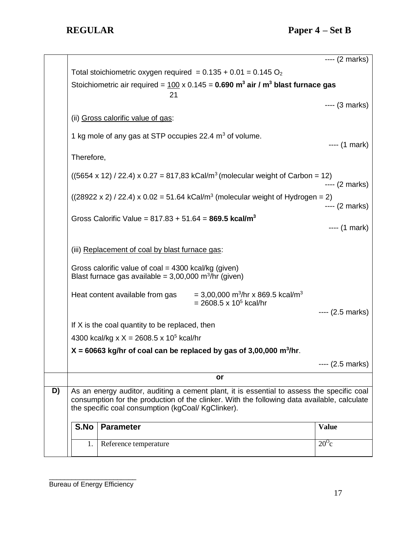|    | 1.                                                                                                                                                                                        | Reference temperature                                               |                                                                                                        | $20^{\circ}$ c    |
|----|-------------------------------------------------------------------------------------------------------------------------------------------------------------------------------------------|---------------------------------------------------------------------|--------------------------------------------------------------------------------------------------------|-------------------|
|    | S.No                                                                                                                                                                                      | <b>Parameter</b>                                                    |                                                                                                        | <b>Value</b>      |
|    | the specific coal consumption (kgCoal/ KgClinker).                                                                                                                                        |                                                                     |                                                                                                        |                   |
| D) | As an energy auditor, auditing a cement plant, it is essential to assess the specific coal<br>consumption for the production of the clinker. With the following data available, calculate |                                                                     |                                                                                                        |                   |
|    |                                                                                                                                                                                           |                                                                     | or                                                                                                     |                   |
|    |                                                                                                                                                                                           |                                                                     |                                                                                                        | $--- (2.5 marks)$ |
|    | $X = 60663$ kg/hr of coal can be replaced by gas of 3,00,000 m <sup>3</sup> /hr.                                                                                                          |                                                                     |                                                                                                        |                   |
|    | If X is the coal quantity to be replaced, then<br>4300 kcal/kg x $X = 2608.5$ x 10 <sup>5</sup> kcal/hr                                                                                   |                                                                     |                                                                                                        |                   |
|    |                                                                                                                                                                                           |                                                                     |                                                                                                        |                   |
|    |                                                                                                                                                                                           | Heat content available from gas                                     | $=$ 3,00,000 m <sup>3</sup> /hr x 869.5 kcal/m <sup>3</sup><br>$= 2608.5 \times 10^5$ kcal/hr          | $--- (2.5 marks)$ |
|    | Gross calorific value of coal = 4300 kcal/kg (given)<br>Blast furnace gas available = $3,00,000$ m <sup>3</sup> /hr (given)                                                               |                                                                     |                                                                                                        |                   |
|    | (iii) Replacement of coal by blast furnace gas:                                                                                                                                           |                                                                     |                                                                                                        |                   |
|    | Gross Calorific Value = $817.83 + 51.64 = 869.5$ kcal/m <sup>3</sup>                                                                                                                      |                                                                     |                                                                                                        | $--- (1 mark)$    |
|    |                                                                                                                                                                                           |                                                                     |                                                                                                        | $--- (2 marks)$   |
|    |                                                                                                                                                                                           |                                                                     | $((28922 \times 2) / 22.4) \times 0.02 = 51.64$ kCal/m <sup>3</sup> (molecular weight of Hydrogen = 2) | $--- (2 marks)$   |
|    | $(5654 \times 12)$ / 22.4) x 0.27 = 817,83 kCal/m <sup>3</sup> (molecular weight of Carbon = 12)                                                                                          |                                                                     |                                                                                                        |                   |
|    | Therefore,                                                                                                                                                                                |                                                                     |                                                                                                        |                   |
|    |                                                                                                                                                                                           | 1 kg mole of any gas at STP occupies 22.4 m <sup>3</sup> of volume. |                                                                                                        | ---- (1 mark)     |
|    |                                                                                                                                                                                           | (ii) Gross calorific value of gas:                                  |                                                                                                        |                   |
|    |                                                                                                                                                                                           | 21                                                                  |                                                                                                        | $--- (3 marks)$   |
|    | Stoichiometric air required = $100 \times 0.145 = 0.690$ m <sup>3</sup> air / m <sup>3</sup> blast furnace gas                                                                            |                                                                     |                                                                                                        |                   |
|    |                                                                                                                                                                                           |                                                                     | Total stoichiometric oxygen required = $0.135 + 0.01 = 0.145$ O <sub>2</sub>                           |                   |
|    |                                                                                                                                                                                           |                                                                     |                                                                                                        | $--- (2 marks)$   |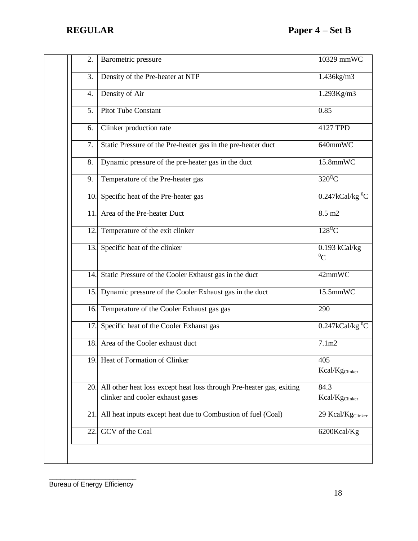| 2.  | Barometric pressure                                                                                      | 10329 mmWC                         |
|-----|----------------------------------------------------------------------------------------------------------|------------------------------------|
| 3.  | Density of the Pre-heater at NTP                                                                         | 1.436kg/m3                         |
| 4.  | Density of Air                                                                                           | 1.293Kg/m3                         |
| 5.  | <b>Pitot Tube Constant</b>                                                                               | 0.85                               |
| 6.  | Clinker production rate                                                                                  | 4127 TPD                           |
| 7.  | Static Pressure of the Pre-heater gas in the pre-heater duct                                             | 640mmWC                            |
| 8.  | Dynamic pressure of the pre-heater gas in the duct                                                       | 15.8mmWC                           |
| 9.  | Temperature of the Pre-heater gas                                                                        | $320^{\circ}$ C                    |
| 10. | Specific heat of the Pre-heater gas                                                                      | $0.247$ kCal/kg <sup>0</sup> C     |
| 11  | Area of the Pre-heater Duct                                                                              | 8.5 m2                             |
| 12. | Temperature of the exit clinker                                                                          | $128^{\circ}$ C                    |
|     | 13. Specific heat of the clinker                                                                         | $0.193$ kCal/kg<br>${}^{0}C$       |
|     | 14. Static Pressure of the Cooler Exhaust gas in the duct                                                | 42mmWC                             |
|     | 15. Dynamic pressure of the Cooler Exhaust gas in the duct                                               | 15.5mmWC                           |
| 16. | Temperature of the Cooler Exhaust gas gas                                                                | 290                                |
| 17. | Specific heat of the Cooler Exhaust gas                                                                  | $0.247$ kCal/kg <sup>0</sup> C     |
| 18. | Area of the Cooler exhaust duct                                                                          | 7.1 <sub>m2</sub>                  |
|     | 19. Heat of Formation of Clinker                                                                         | 405<br>Kcal/Kg <sub>Clinker</sub>  |
| 20. | All other heat loss except heat loss through Pre-heater gas, exiting<br>clinker and cooler exhaust gases | 84.3<br>Kcal/Kg <sub>Clinker</sub> |
| 21  | All heat inputs except heat due to Combustion of fuel (Coal)                                             | 29 Kcal/Kg <sub>Clinker</sub>      |
| 22  | GCV of the Coal                                                                                          | 6200Kcal/Kg                        |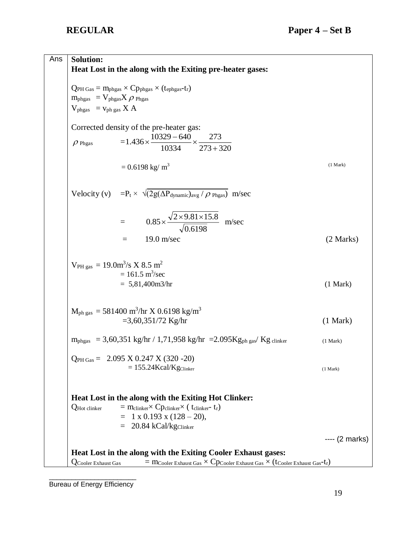| Ans | <b>Solution:</b><br>Heat Lost in the along with the Exiting pre-heater gases:                                              |                 |
|-----|----------------------------------------------------------------------------------------------------------------------------|-----------------|
|     | $Q_{PH\text{ Gas}} = m_{\text{phgas}} \times C p_{\text{phgas}} \times (t_{\text{ephgas}} - t_{r})$                        |                 |
|     | $m_{\rm phgas} = V_{\rm phgas} X \rho_{\rm phgas}$                                                                         |                 |
|     | $V_{phgas}$ = $v_{phgas}$ X A                                                                                              |                 |
|     | Corrected density of the pre-heater gas:<br>$=1.436\times\frac{10329-640}{10334}\times\frac{273}{273+320}$                 |                 |
|     | $\rho$ Phgas                                                                                                               |                 |
|     | $= 0.6198$ kg/ m <sup>3</sup>                                                                                              | (1 Mark)        |
|     | Velocity (v) = $P_t \times \sqrt{2g(\Delta P_{dynamic})_{avg} / \rho_{Phgas})}$ m/sec                                      |                 |
|     | = $0.85 \times \frac{\sqrt{2 \times 9.81 \times 15.8}}{\sqrt{0.6100}}$ m/sec                                               |                 |
|     | $19.0 \text{ m/sec}$<br>$=$                                                                                                | (2 Marks)       |
|     | $V_{PH gas} = 19.0 \text{m}^3/\text{s} \times 8.5 \text{ m}^2$<br>$= 161.5 \text{ m}^3/\text{sec}$<br>$= 5,81,400m3/hr$    | (1 Mark)        |
|     | $M_{ph gas} = 581400$ m <sup>3</sup> /hr X 0.6198 kg/m <sup>3</sup>                                                        |                 |
|     | $=3,60,351/72$ Kg/hr                                                                                                       | (1 Mark)        |
|     | $m_{phgas}$ = 3,60,351 kg/hr / 1,71,958 kg/hr = 2.095 Kg <sub>ph gas</sub> / Kg clinker                                    | (1 Mark)        |
|     | $Q_{PH\,Gas} = 2.095 \times 0.247 \times (320 - 20)$                                                                       |                 |
|     | $= 155.24$ Kcal/Kg $C$ linker                                                                                              | (1 Mark)        |
|     | Heat Lost in the along with the Exiting Hot Clinker:                                                                       |                 |
|     | $=$ m <sub>clinker</sub> $\times$ Cp <sub>clinker</sub> $\times$ ( t <sub>clinker</sub> - t <sub>r</sub> )<br>QHot clinker |                 |
|     | $= 1 \times 0.193 \times (128 - 20),$                                                                                      |                 |
|     | $= 20.84 \text{ kCal/kg}$ Clinker                                                                                          |                 |
|     |                                                                                                                            | $--- (2 marks)$ |
|     | Heat Lost in the along with the Exiting Cooler Exhaust gases:                                                              |                 |
|     | = MCooler Exhaust Gas $\times$ CPCooler Exhaust Gas $\times$ (tCooler Exhaust Gas-tr)<br><b>Q</b> Cooler Exhaust Gas       |                 |
|     |                                                                                                                            |                 |